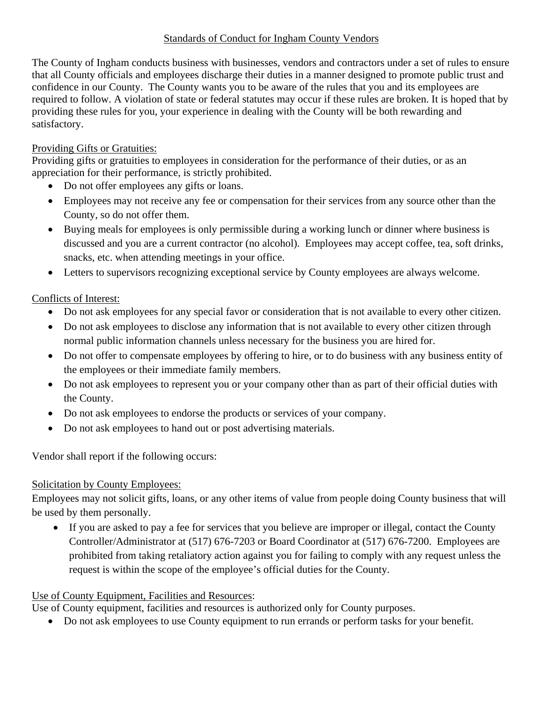### Standards of Conduct for Ingham County Vendors

The County of Ingham conducts business with businesses, vendors and contractors under a set of rules to ensure that all County officials and employees discharge their duties in a manner designed to promote public trust and confidence in our County. The County wants you to be aware of the rules that you and its employees are required to follow. A violation of state or federal statutes may occur if these rules are broken. It is hoped that by providing these rules for you, your experience in dealing with the County will be both rewarding and satisfactory.

# Providing Gifts or Gratuities:

Providing gifts or gratuities to employees in consideration for the performance of their duties, or as an appreciation for their performance, is strictly prohibited.

- Do not offer employees any gifts or loans.
- Employees may not receive any fee or compensation for their services from any source other than the County, so do not offer them.
- Buying meals for employees is only permissible during a working lunch or dinner where business is discussed and you are a current contractor (no alcohol). Employees may accept coffee, tea, soft drinks, snacks, etc. when attending meetings in your office.
- Letters to supervisors recognizing exceptional service by County employees are always welcome.

### Conflicts of Interest:

- Do not ask employees for any special favor or consideration that is not available to every other citizen.
- Do not ask employees to disclose any information that is not available to every other citizen through normal public information channels unless necessary for the business you are hired for.
- Do not offer to compensate employees by offering to hire, or to do business with any business entity of the employees or their immediate family members.
- Do not ask employees to represent you or your company other than as part of their official duties with the County.
- Do not ask employees to endorse the products or services of your company.
- Do not ask employees to hand out or post advertising materials.

Vendor shall report if the following occurs:

#### Solicitation by County Employees:

Employees may not solicit gifts, loans, or any other items of value from people doing County business that will be used by them personally.

 If you are asked to pay a fee for services that you believe are improper or illegal, contact the County Controller/Administrator at (517) 676-7203 or Board Coordinator at (517) 676-7200. Employees are prohibited from taking retaliatory action against you for failing to comply with any request unless the request is within the scope of the employee's official duties for the County.

# Use of County Equipment, Facilities and Resources:

Use of County equipment, facilities and resources is authorized only for County purposes.

• Do not ask employees to use County equipment to run errands or perform tasks for your benefit.